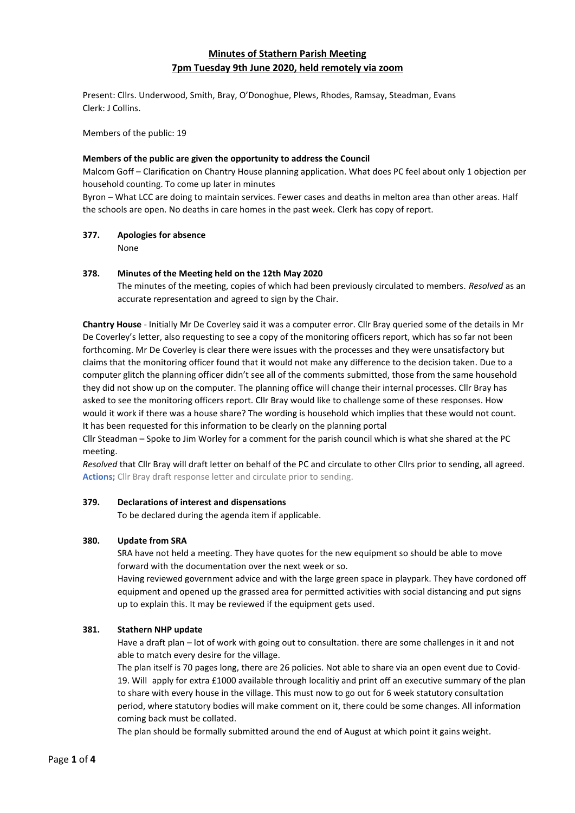# **Minutes of Stathern Parish Meeting 7pm Tuesday 9th June 2020, held remotely via zoom**

Present: Cllrs. Underwood, Smith, Bray, O'Donoghue, Plews, Rhodes, Ramsay, Steadman, Evans Clerk: J Collins.

Members of the public: 19

#### **Members of the public are given the opportunity to address the Council**

Malcom Goff – Clarification on Chantry House planning application. What does PC feel about only 1 objection per household counting. To come up later in minutes

Byron – What LCC are doing to maintain services. Fewer cases and deaths in melton area than other areas. Half the schools are open. No deaths in care homes in the past week. Clerk has copy of report.

#### **377. Apologies for absence**

None

#### **378. Minutes of the Meeting held on the 12th May 2020**

The minutes of the meeting, copies of which had been previously circulated to members. *Resolved* as an accurate representation and agreed to sign by the Chair.

**Chantry House** - Initially Mr De Coverley said it was a computer error. Cllr Bray queried some of the details in Mr De Coverley's letter, also requesting to see a copy of the monitoring officers report, which has so far not been forthcoming. Mr De Coverley is clear there were issues with the processes and they were unsatisfactory but claims that the monitoring officer found that it would not make any difference to the decision taken. Due to a computer glitch the planning officer didn't see all of the comments submitted, those from the same household they did not show up on the computer. The planning office will change their internal processes. Cllr Bray has asked to see the monitoring officers report. Cllr Bray would like to challenge some of these responses. How would it work if there was a house share? The wording is household which implies that these would not count. It has been requested for this information to be clearly on the planning portal

Cllr Steadman – Spoke to Jim Worley for a comment for the parish council which is what she shared at the PC meeting.

*Resolved* that Cllr Bray will draft letter on behalf of the PC and circulate to other Cllrs prior to sending, all agreed. **Actions;** Cllr Bray draft response letter and circulate prior to sending.

#### **379. Declarations of interest and dispensations**

To be declared during the agenda item if applicable.

#### **380. Update from SRA**

SRA have not held a meeting. They have quotes for the new equipment so should be able to move forward with the documentation over the next week or so.

Having reviewed government advice and with the large green space in playpark. They have cordoned off equipment and opened up the grassed area for permitted activities with social distancing and put signs up to explain this. It may be reviewed if the equipment gets used.

### **381. Stathern NHP update**

Have a draft plan – lot of work with going out to consultation. there are some challenges in it and not able to match every desire for the village.

The plan itself is 70 pages long, there are 26 policies. Not able to share via an open event due to Covid-19. Will apply for extra £1000 available through localitiy and print off an executive summary of the plan to share with every house in the village. This must now to go out for 6 week statutory consultation period, where statutory bodies will make comment on it, there could be some changes. All information coming back must be collated.

The plan should be formally submitted around the end of August at which point it gains weight.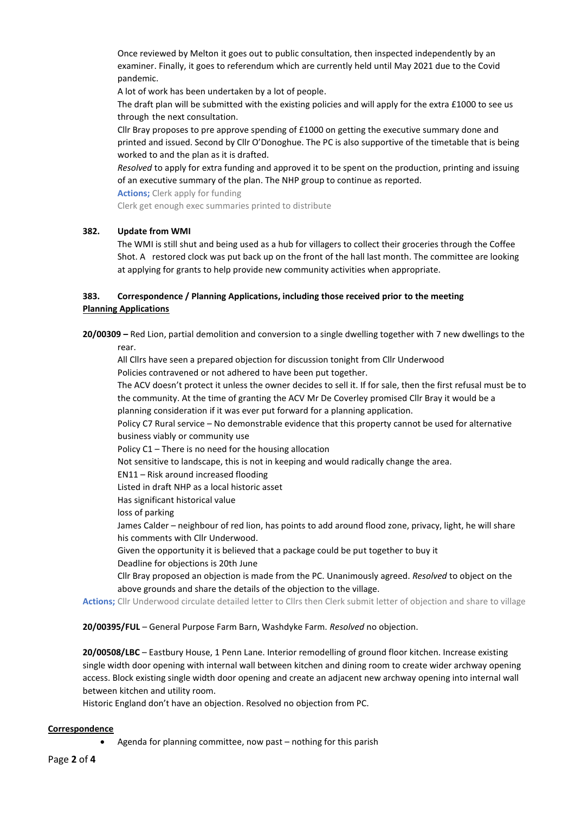Once reviewed by Melton it goes out to public consultation, then inspected independently by an examiner. Finally, it goes to referendum which are currently held until May 2021 due to the Covid pandemic.

A lot of work has been undertaken by a lot of people.

The draft plan will be submitted with the existing policies and will apply for the extra £1000 to see us through the next consultation.

Cllr Bray proposes to pre approve spending of £1000 on getting the executive summary done and printed and issued. Second by Cllr O'Donoghue. The PC is also supportive of the timetable that is being worked to and the plan as it is drafted.

*Resolved* to apply for extra funding and approved it to be spent on the production, printing and issuing of an executive summary of the plan. The NHP group to continue as reported.

**Actions;** Clerk apply for funding

Clerk get enough exec summaries printed to distribute

#### **382. Update from WMI**

The WMI is still shut and being used as a hub for villagers to collect their groceries through the Coffee Shot. A restored clock was put back up on the front of the hall last month. The committee are looking at applying for grants to help provide new community activities when appropriate.

# **383. Correspondence / Planning Applications, including those received prior to the meeting Planning Applications**

**20/00309 –** Red Lion, partial demolition and conversion to a single dwelling together with 7 new dwellings to the

rear.

All Cllrs have seen a prepared objection for discussion tonight from Cllr Underwood Policies contravened or not adhered to have been put together.

The ACV doesn't protect it unless the owner decides to sell it. If for sale, then the first refusal must be to the community. At the time of granting the ACV Mr De Coverley promised Cllr Bray it would be a planning consideration if it was ever put forward for a planning application.

Policy C7 Rural service – No demonstrable evidence that this property cannot be used for alternative business viably or community use

Policy C1 – There is no need for the housing allocation

Not sensitive to landscape, this is not in keeping and would radically change the area.

EN11 – Risk around increased flooding

Listed in draft NHP as a local historic asset

Has significant historical value

loss of parking

James Calder – neighbour of red lion, has points to add around flood zone, privacy, light, he will share his comments with Cllr Underwood.

Given the opportunity it is believed that a package could be put together to buy it

Deadline for objections is 20th June

Cllr Bray proposed an objection is made from the PC. Unanimously agreed. *Resolved* to object on the above grounds and share the details of the objection to the village.

**Actions;** Cllr Underwood circulate detailed letter to Cllrs then Clerk submit letter of objection and share to village

**20/00395/FUL** – General Purpose Farm Barn, Washdyke Farm. *Resolved* no objection.

**20/00508/LBC** – Eastbury House, 1 Penn Lane. Interior remodelling of ground floor kitchen. Increase existing single width door opening with internal wall between kitchen and dining room to create wider archway opening access. Block existing single width door opening and create an adjacent new archway opening into internal wall between kitchen and utility room.

Historic England don't have an objection. Resolved no objection from PC.

#### **Correspondence**

• Agenda for planning committee, now past – nothing for this parish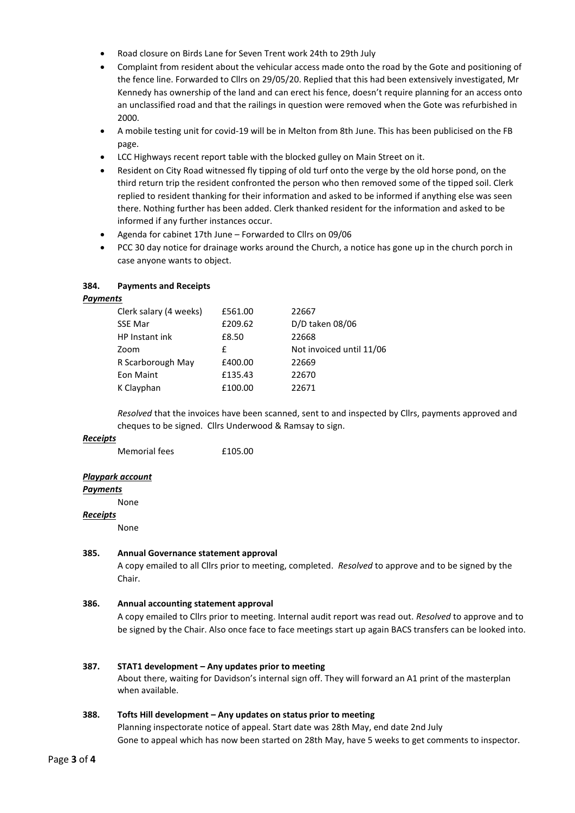- Road closure on Birds Lane for Seven Trent work 24th to 29th July
- Complaint from resident about the vehicular access made onto the road by the Gote and positioning of the fence line. Forwarded to Cllrs on 29/05/20. Replied that this had been extensively investigated, Mr Kennedy has ownership of the land and can erect his fence, doesn't require planning for an access onto an unclassified road and that the railings in question were removed when the Gote was refurbished in 2000.
- A mobile testing unit for covid-19 will be in Melton from 8th June. This has been publicised on the FB page.
- LCC Highways recent report table with the blocked gulley on Main Street on it.
- Resident on City Road witnessed fly tipping of old turf onto the verge by the old horse pond, on the third return trip the resident confronted the person who then removed some of the tipped soil. Clerk replied to resident thanking for their information and asked to be informed if anything else was seen there. Nothing further has been added. Clerk thanked resident for the information and asked to be informed if any further instances occur.
- Agenda for cabinet 17th June Forwarded to Cllrs on 09/06
- PCC 30 day notice for drainage works around the Church, a notice has gone up in the church porch in case anyone wants to object.

### **384. Payments and Receipts**

#### *Payments*

| Clerk salary (4 weeks) | £561.00 | 22667                    |
|------------------------|---------|--------------------------|
| <b>SSE Mar</b>         | £209.62 | D/D taken 08/06          |
| HP Instant ink         | £8.50   | 22668                    |
| Zoom                   | f       | Not invoiced until 11/06 |
| R Scarborough May      | £400.00 | 22669                    |
| Eon Maint              | £135.43 | 22670                    |
| K Clayphan             | £100.00 | 22671                    |
|                        |         |                          |

*Resolved* that the invoices have been scanned, sent to and inspected by Cllrs, payments approved and cheques to be signed. Cllrs Underwood & Ramsay to sign.

#### *Receipts*

Memorial fees **£105.00** 

# *Playpark account*

*Payments*

None

#### *Receipts*

None

#### **385. Annual Governance statement approval**

A copy emailed to all Cllrs prior to meeting, completed. *Resolved* to approve and to be signed by the Chair.

#### **386. Annual accounting statement approval**

A copy emailed to Cllrs prior to meeting. Internal audit report was read out. *Resolved* to approve and to be signed by the Chair. Also once face to face meetings start up again BACS transfers can be looked into.

#### **387. STAT1 development – Any updates prior to meeting**

About there, waiting for Davidson's internal sign off. They will forward an A1 print of the masterplan when available.

#### **388. Tofts Hill development – Any updates on status prior to meeting**

Planning inspectorate notice of appeal. Start date was 28th May, end date 2nd July Gone to appeal which has now been started on 28th May, have 5 weeks to get comments to inspector.